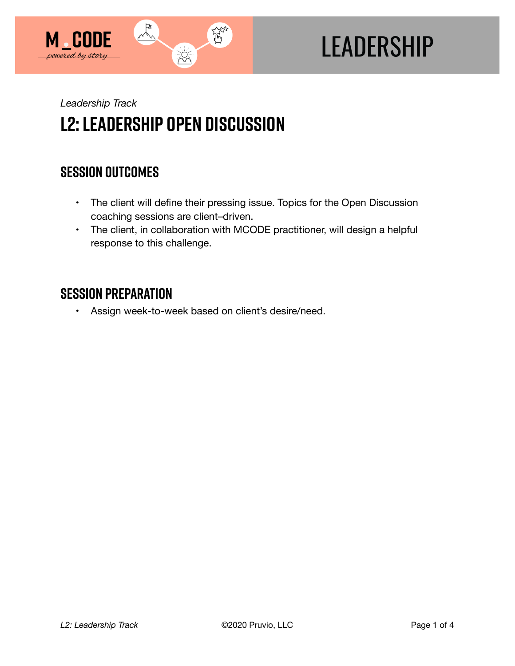

# **LEADERSHIP**

*Leadership Track* 

# **l2: Leadership Open Discussion**

## **SESSION OUTCOMES**

- The client will define their pressing issue. Topics for the Open Discussion coaching sessions are client–driven.
- The client, in collaboration with MCODE practitioner, will design a helpful response to this challenge.

#### **SESSION PREPARATION**

• Assign week-to-week based on client's desire/need.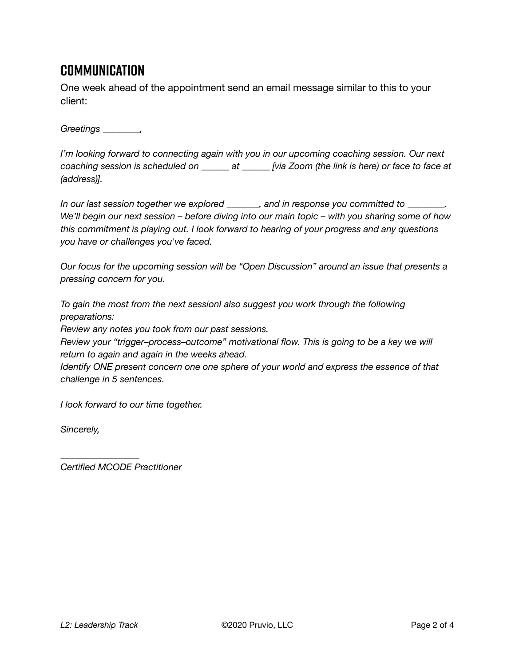#### **Communication**

One week ahead of the appointment send an email message similar to this to your client:

*Greetings \_\_\_\_\_\_\_\_,* 

*I'm looking forward to connecting again with you in our upcoming coaching session. Our next coaching session is scheduled on \_\_\_\_\_\_ at \_\_\_\_\_\_ [via Zoom (the link is here) or face to face at (address)].* 

*In our last session together we explored \_\_\_\_\_\_\_, and in response you committed to \_\_\_\_\_\_\_\_. We'll begin our next session – before diving into our main topic – with you sharing some of how this commitment is playing out. I look forward to hearing of your progress and any questions you have or challenges you've faced.* 

*Our focus for the upcoming session will be "Open Discussion" around an issue that presents a pressing concern for you.* 

*To gain the most from the next sessionI also suggest you work through the following preparations:* 

*Review any notes you took from our past sessions.* 

*Review your "trigger–process–outcome" motivational flow. This is going to be a key we will return to again and again in the weeks ahead.* 

*Identify ONE present concern one one sphere of your world and express the essence of that challenge in 5 sentences.* 

*I look forward to our time together.* 

*Sincerely,* 

*Certified MCODE Practitioner*

*\_\_\_\_\_\_\_\_\_\_\_\_\_\_\_\_\_*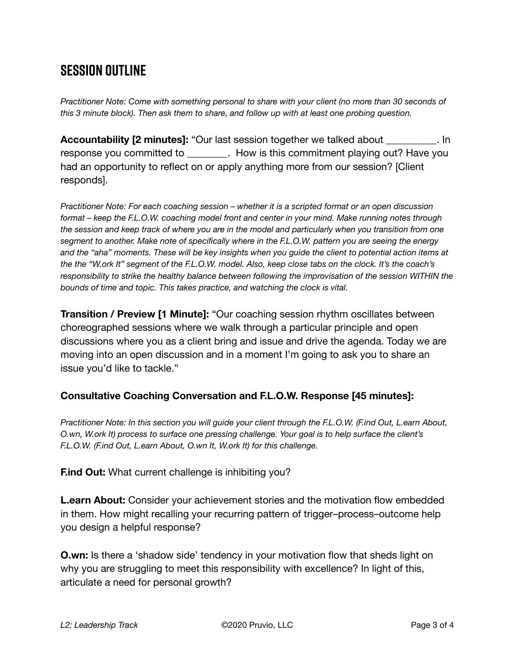### **SESSION OUTLINE**

*Practitioner Note: Come with something personal to share with your client (no more than 30 seconds of this 3 minute block). Then ask them to share, and follow up with at least one probing question.*

**Accountability [2 minutes]:** "Our last session together we talked about \_\_\_\_\_\_\_\_\_\_. In response you committed to **Example 2. How is this commitment playing out?** Have you had an opportunity to reflect on or apply anything more from our session? [Client responds].

*Practitioner Note: For each coaching session – whether it is a scripted format or an open discussion format – keep the F.L.O.W. coaching model front and center in your mind. Make running notes through the session and keep track of where you are in the model and particularly when you transition from one segment to another. Make note of specifically where in the F.L.O.W. pattern you are seeing the energy and the "aha" moments. These will be key insights when you guide the client to potential action items at the the "W.ork It" segment of the F.L.O.W. model. Also, keep close tabs on the clock. It's the coach's responsibility to strike the healthy balance between following the improvisation of the session WITHIN the bounds of time and topic. This takes practice, and watching the clock is vital.*

**Transition / Preview [1 Minute]:** "Our coaching session rhythm oscillates between choreographed sessions where we walk through a particular principle and open discussions where you as a client bring and issue and drive the agenda. Today we are moving into an open discussion and in a moment I'm going to ask you to share an issue you'd like to tackle."

#### **Consultative Coaching Conversation and F.L.O.W. Response [45 minutes]:**

*Practitioner Note: In this section you will guide your client through the F.L.O.W. (F.ind Out, L.earn About, O.wn, W.ork It) process to surface one pressing challenge. Your goal is to help surface the client's F.L.O.W. (F.ind Out, L.earn About, O.wn It, W.ork It) for this challenge.*

**F.ind Out:** What current challenge is inhibiting you?

**L.earn About:** Consider your achievement stories and the motivation flow embedded in them. How might recalling your recurring pattern of trigger–process–outcome help you design a helpful response?

**O.wn:** Is there a 'shadow side' tendency in your motivation flow that sheds light on why you are struggling to meet this responsibility with excellence? In light of this, articulate a need for personal growth?